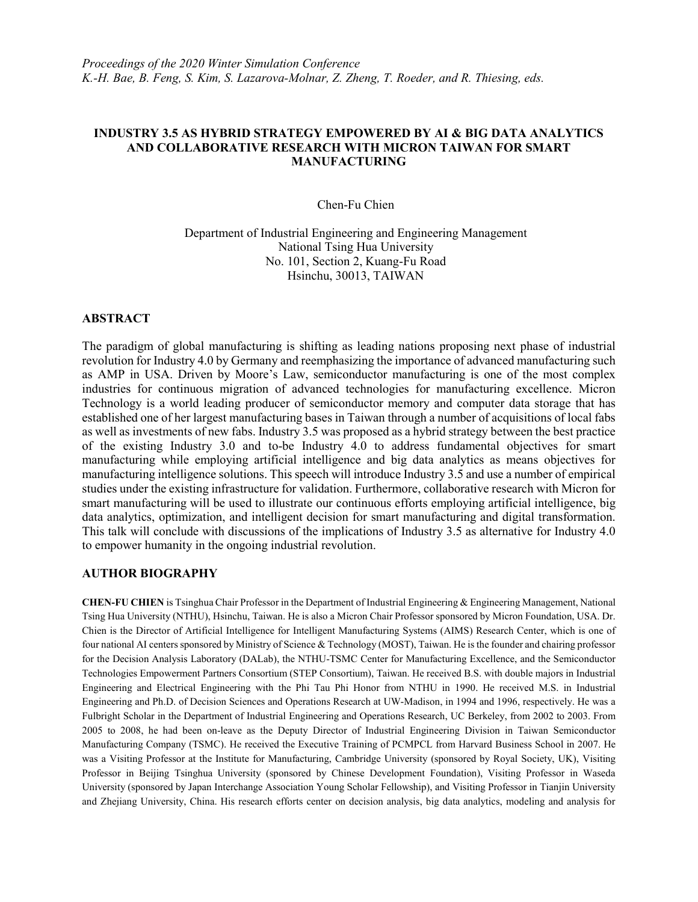## **INDUSTRY 3.5 AS HYBRID STRATEGY EMPOWERED BY AI & BIG DATA ANALYTICS AND COLLABORATIVE RESEARCH WITH MICRON TAIWAN FOR SMART MANUFACTURING**

Chen-Fu Chien

Department of Industrial Engineering and Engineering Management National Tsing Hua University No. 101, Section 2, Kuang-Fu Road Hsinchu, 30013, TAIWAN

## **ABSTRACT**

The paradigm of global manufacturing is shifting as leading nations proposing next phase of industrial revolution for Industry 4.0 by Germany and reemphasizing the importance of advanced manufacturing such as AMP in USA. Driven by Moore's Law, semiconductor manufacturing is one of the most complex industries for continuous migration of advanced technologies for manufacturing excellence. Micron Technology is a world leading producer of semiconductor memory and computer data storage that has established one of her largest manufacturing bases in Taiwan through a number of acquisitions of local fabs as well as investments of new fabs. Industry 3.5 was proposed as a hybrid strategy between the best practice of the existing Industry 3.0 and to-be Industry 4.0 to address fundamental objectives for smart manufacturing while employing artificial intelligence and big data analytics as means objectives for manufacturing intelligence solutions. This speech will introduce Industry 3.5 and use a number of empirical studies under the existing infrastructure for validation. Furthermore, collaborative research with Micron for smart manufacturing will be used to illustrate our continuous efforts employing artificial intelligence, big data analytics, optimization, and intelligent decision for smart manufacturing and digital transformation. This talk will conclude with discussions of the implications of Industry 3.5 as alternative for Industry 4.0 to empower humanity in the ongoing industrial revolution.

## **AUTHOR BIOGRAPHY**

**CHEN-FU CHIEN** is Tsinghua Chair Professor in the Department of Industrial Engineering & Engineering Management, National Tsing Hua University (NTHU), Hsinchu, Taiwan. He is also a Micron Chair Professor sponsored by Micron Foundation, USA. Dr. Chien is the Director of Artificial Intelligence for Intelligent Manufacturing Systems (AIMS) Research Center, which is one of four national AI centers sponsored by Ministry of Science & Technology (MOST), Taiwan. He is the founder and chairing professor for the Decision Analysis Laboratory (DALab), the NTHU-TSMC Center for Manufacturing Excellence, and the Semiconductor Technologies Empowerment Partners Consortium (STEP Consortium), Taiwan. He received B.S. with double majors in Industrial Engineering and Electrical Engineering with the Phi Tau Phi Honor from NTHU in 1990. He received M.S. in Industrial Engineering and Ph.D. of Decision Sciences and Operations Research at UW-Madison, in 1994 and 1996, respectively. He was a Fulbright Scholar in the Department of Industrial Engineering and Operations Research, UC Berkeley, from 2002 to 2003. From 2005 to 2008, he had been on-leave as the Deputy Director of Industrial Engineering Division in Taiwan Semiconductor Manufacturing Company (TSMC). He received the Executive Training of PCMPCL from Harvard Business School in 2007. He was a Visiting Professor at the Institute for Manufacturing, Cambridge University (sponsored by Royal Society, UK), Visiting Professor in Beijing Tsinghua University (sponsored by Chinese Development Foundation), Visiting Professor in Waseda University (sponsored by Japan Interchange Association Young Scholar Fellowship), and Visiting Professor in Tianjin University and Zhejiang University, China. His research efforts center on decision analysis, big data analytics, modeling and analysis for